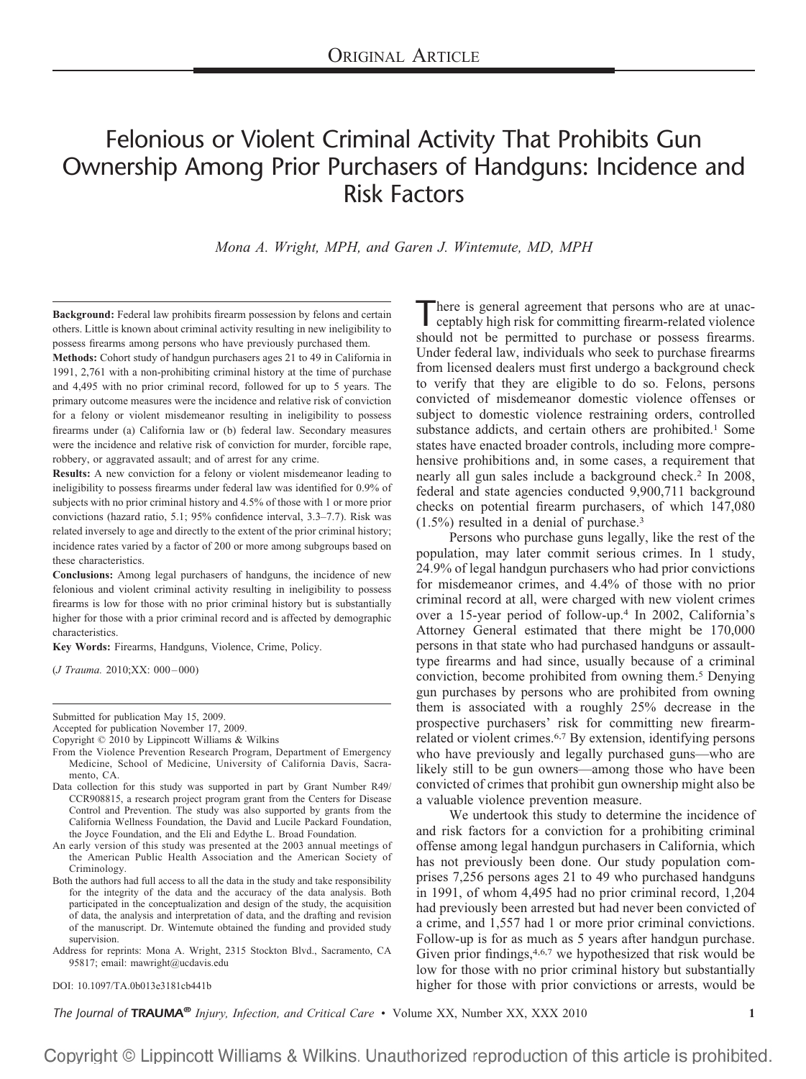# Felonious or Violent Criminal Activity That Prohibits Gun Ownership Among Prior Purchasers of Handguns: Incidence and Risk Factors

*Mona A. Wright, MPH, and Garen J. Wintemute, MD, MPH*

**Background:** Federal law prohibits firearm possession by felons and certain others. Little is known about criminal activity resulting in new ineligibility to possess firearms among persons who have previously purchased them.

**Methods:** Cohort study of handgun purchasers ages 21 to 49 in California in 1991, 2,761 with a non-prohibiting criminal history at the time of purchase and 4,495 with no prior criminal record, followed for up to 5 years. The primary outcome measures were the incidence and relative risk of conviction for a felony or violent misdemeanor resulting in ineligibility to possess firearms under (a) California law or (b) federal law. Secondary measures were the incidence and relative risk of conviction for murder, forcible rape, robbery, or aggravated assault; and of arrest for any crime.

**Results:** A new conviction for a felony or violent misdemeanor leading to ineligibility to possess firearms under federal law was identified for 0.9% of subjects with no prior criminal history and 4.5% of those with 1 or more prior convictions (hazard ratio, 5.1; 95% confidence interval, 3.3–7.7). Risk was related inversely to age and directly to the extent of the prior criminal history; incidence rates varied by a factor of 200 or more among subgroups based on these characteristics.

**Conclusions:** Among legal purchasers of handguns, the incidence of new felonious and violent criminal activity resulting in ineligibility to possess firearms is low for those with no prior criminal history but is substantially higher for those with a prior criminal record and is affected by demographic characteristics.

**Key Words:** Firearms, Handguns, Violence, Crime, Policy.

(*J Trauma.* 2010;XX: 000 – 000)

Submitted for publication May 15, 2009.

Accepted for publication November 17, 2009.

Copyright © 2010 by Lippincott Williams & Wilkins

- From the Violence Prevention Research Program, Department of Emergency Medicine, School of Medicine, University of California Davis, Sacramento, CA.
- Data collection for this study was supported in part by Grant Number R49/ CCR908815, a research project program grant from the Centers for Disease Control and Prevention. The study was also supported by grants from the California Wellness Foundation, the David and Lucile Packard Foundation, the Joyce Foundation, and the Eli and Edythe L. Broad Foundation.
- An early version of this study was presented at the 2003 annual meetings of the American Public Health Association and the American Society of Criminology.
- Both the authors had full access to all the data in the study and take responsibility for the integrity of the data and the accuracy of the data analysis. Both participated in the conceptualization and design of the study, the acquisition of data, the analysis and interpretation of data, and the drafting and revision of the manuscript. Dr. Wintemute obtained the funding and provided study supervision.

Address for reprints: Mona A. Wright, 2315 Stockton Blvd., Sacramento, CA 95817; email: mawright@ucdavis.edu

DOI: 10.1097/TA.0b013e3181cb441b

There is general agreement that persons who are at unacceptably high risk for committing firearm-related violence should not be permitted to purchase or possess firearms. Under federal law, individuals who seek to purchase firearms from licensed dealers must first undergo a background check to verify that they are eligible to do so. Felons, persons convicted of misdemeanor domestic violence offenses or subject to domestic violence restraining orders, controlled substance addicts, and certain others are prohibited.<sup>1</sup> Some states have enacted broader controls, including more comprehensive prohibitions and, in some cases, a requirement that nearly all gun sales include a background check.2 In 2008, federal and state agencies conducted 9,900,711 background checks on potential firearm purchasers, of which 147,080 (1.5%) resulted in a denial of purchase.3

Persons who purchase guns legally, like the rest of the population, may later commit serious crimes. In 1 study, 24.9% of legal handgun purchasers who had prior convictions for misdemeanor crimes, and 4.4% of those with no prior criminal record at all, were charged with new violent crimes over a 15-year period of follow-up.4 In 2002, California's Attorney General estimated that there might be 170,000 persons in that state who had purchased handguns or assaulttype firearms and had since, usually because of a criminal conviction, become prohibited from owning them.5 Denying gun purchases by persons who are prohibited from owning them is associated with a roughly 25% decrease in the prospective purchasers' risk for committing new firearmrelated or violent crimes.6,7 By extension, identifying persons who have previously and legally purchased guns—who are likely still to be gun owners—among those who have been convicted of crimes that prohibit gun ownership might also be a valuable violence prevention measure.

We undertook this study to determine the incidence of and risk factors for a conviction for a prohibiting criminal offense among legal handgun purchasers in California, which has not previously been done. Our study population comprises 7,256 persons ages 21 to 49 who purchased handguns in 1991, of whom 4,495 had no prior criminal record, 1,204 had previously been arrested but had never been convicted of a crime, and 1,557 had 1 or more prior criminal convictions. Follow-up is for as much as 5 years after handgun purchase. Given prior findings, 4,6,7 we hypothesized that risk would be low for those with no prior criminal history but substantially higher for those with prior convictions or arrests, would be

*The Journal of TRAUMA® Injury, Infection, and Critical Care* • Volume XX, Number XX, XXX 2010 **1**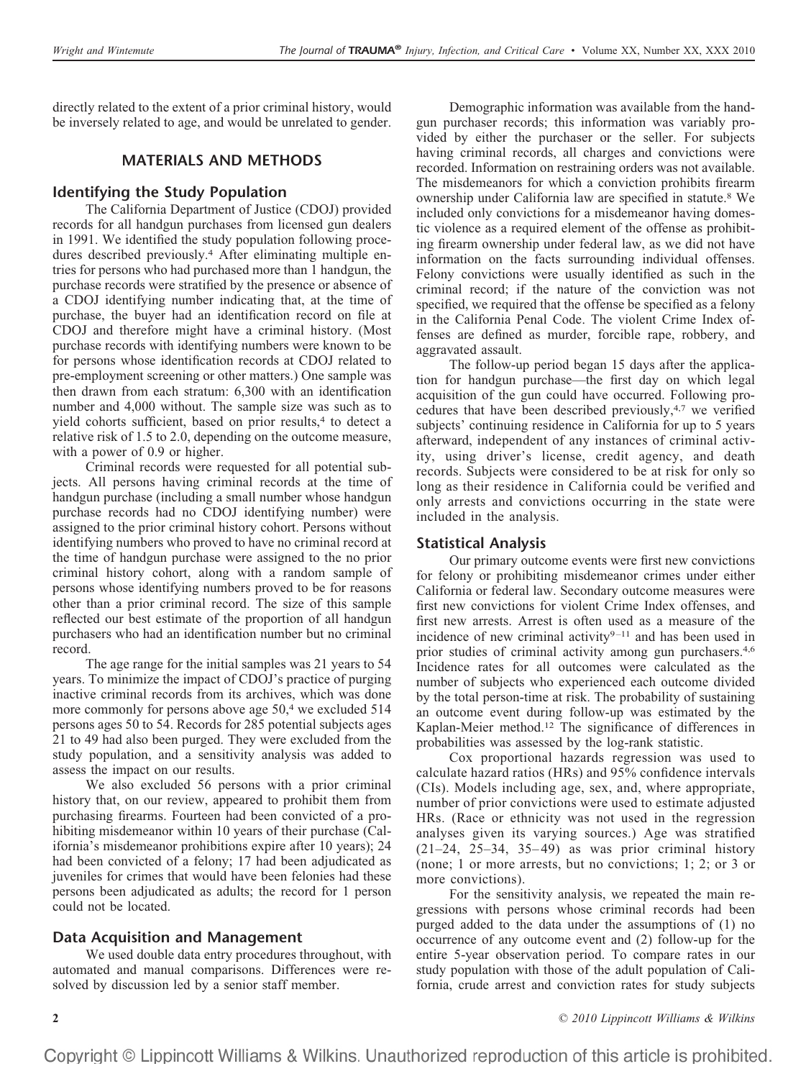directly related to the extent of a prior criminal history, would be inversely related to age, and would be unrelated to gender.

## **MATERIALS AND METHODS**

## **Identifying the Study Population**

The California Department of Justice (CDOJ) provided records for all handgun purchases from licensed gun dealers in 1991. We identified the study population following procedures described previously.4 After eliminating multiple entries for persons who had purchased more than 1 handgun, the purchase records were stratified by the presence or absence of a CDOJ identifying number indicating that, at the time of purchase, the buyer had an identification record on file at CDOJ and therefore might have a criminal history. (Most purchase records with identifying numbers were known to be for persons whose identification records at CDOJ related to pre-employment screening or other matters.) One sample was then drawn from each stratum: 6,300 with an identification number and 4,000 without. The sample size was such as to yield cohorts sufficient, based on prior results,<sup>4</sup> to detect a relative risk of 1.5 to 2.0, depending on the outcome measure, with a power of 0.9 or higher.

Criminal records were requested for all potential subjects. All persons having criminal records at the time of handgun purchase (including a small number whose handgun purchase records had no CDOJ identifying number) were assigned to the prior criminal history cohort. Persons without identifying numbers who proved to have no criminal record at the time of handgun purchase were assigned to the no prior criminal history cohort, along with a random sample of persons whose identifying numbers proved to be for reasons other than a prior criminal record. The size of this sample reflected our best estimate of the proportion of all handgun purchasers who had an identification number but no criminal record.

The age range for the initial samples was 21 years to 54 years. To minimize the impact of CDOJ's practice of purging inactive criminal records from its archives, which was done more commonly for persons above age 50,<sup>4</sup> we excluded 514 persons ages 50 to 54. Records for 285 potential subjects ages 21 to 49 had also been purged. They were excluded from the study population, and a sensitivity analysis was added to assess the impact on our results.

We also excluded 56 persons with a prior criminal history that, on our review, appeared to prohibit them from purchasing firearms. Fourteen had been convicted of a prohibiting misdemeanor within 10 years of their purchase (California's misdemeanor prohibitions expire after 10 years); 24 had been convicted of a felony; 17 had been adjudicated as juveniles for crimes that would have been felonies had these persons been adjudicated as adults; the record for 1 person could not be located.

## **Data Acquisition and Management**

We used double data entry procedures throughout, with automated and manual comparisons. Differences were resolved by discussion led by a senior staff member.

Demographic information was available from the handgun purchaser records; this information was variably provided by either the purchaser or the seller. For subjects having criminal records, all charges and convictions were recorded. Information on restraining orders was not available. The misdemeanors for which a conviction prohibits firearm ownership under California law are specified in statute.8 We included only convictions for a misdemeanor having domestic violence as a required element of the offense as prohibiting firearm ownership under federal law, as we did not have information on the facts surrounding individual offenses. Felony convictions were usually identified as such in the criminal record; if the nature of the conviction was not specified, we required that the offense be specified as a felony in the California Penal Code. The violent Crime Index offenses are defined as murder, forcible rape, robbery, and aggravated assault.

The follow-up period began 15 days after the application for handgun purchase—the first day on which legal acquisition of the gun could have occurred. Following procedures that have been described previously,4,7 we verified subjects' continuing residence in California for up to 5 years afterward, independent of any instances of criminal activity, using driver's license, credit agency, and death records. Subjects were considered to be at risk for only so long as their residence in California could be verified and only arrests and convictions occurring in the state were included in the analysis.

## **Statistical Analysis**

Our primary outcome events were first new convictions for felony or prohibiting misdemeanor crimes under either California or federal law. Secondary outcome measures were first new convictions for violent Crime Index offenses, and first new arrests. Arrest is often used as a measure of the incidence of new criminal activity $9-11$  and has been used in prior studies of criminal activity among gun purchasers.4,6 Incidence rates for all outcomes were calculated as the number of subjects who experienced each outcome divided by the total person-time at risk. The probability of sustaining an outcome event during follow-up was estimated by the Kaplan-Meier method.12 The significance of differences in probabilities was assessed by the log-rank statistic.

Cox proportional hazards regression was used to calculate hazard ratios (HRs) and 95% confidence intervals (CIs). Models including age, sex, and, where appropriate, number of prior convictions were used to estimate adjusted HRs. (Race or ethnicity was not used in the regression analyses given its varying sources.) Age was stratified  $(21-24, 25-34, 35-49)$  as was prior criminal history (none; 1 or more arrests, but no convictions; 1; 2; or 3 or more convictions).

For the sensitivity analysis, we repeated the main regressions with persons whose criminal records had been purged added to the data under the assumptions of (1) no occurrence of any outcome event and (2) follow-up for the entire 5-year observation period. To compare rates in our study population with those of the adult population of California, crude arrest and conviction rates for study subjects

**2** *© 2010 Lippincott Williams & Wilkins*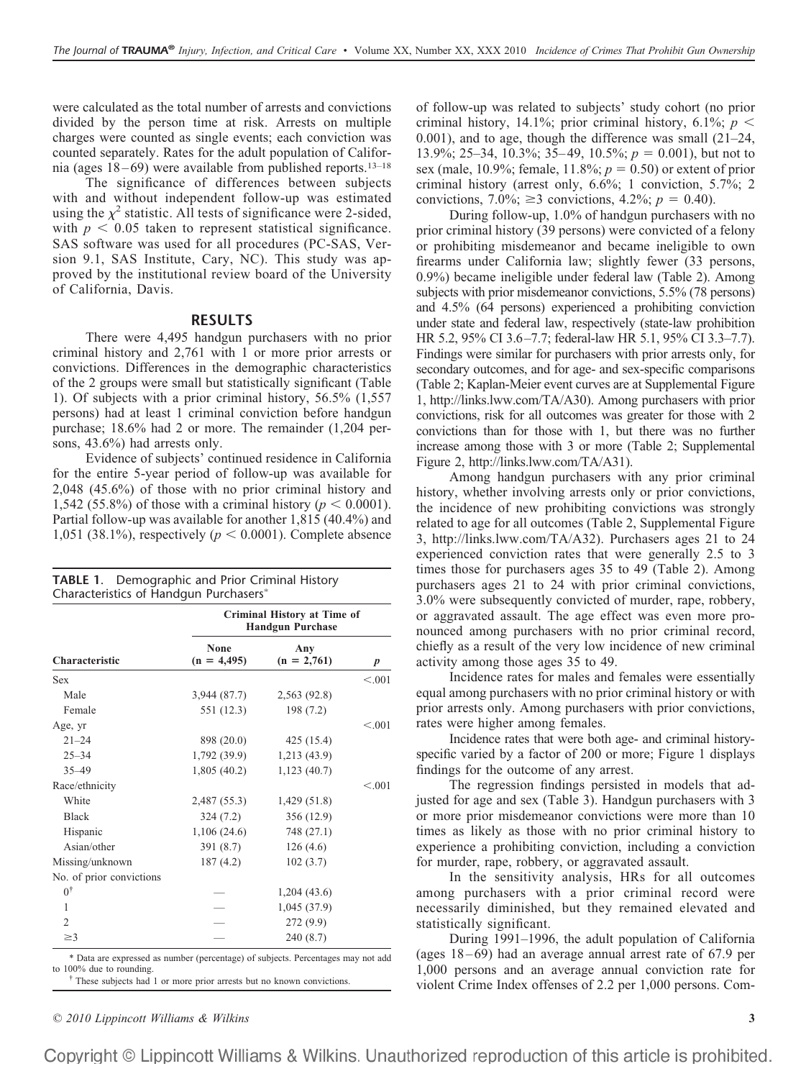were calculated as the total number of arrests and convictions divided by the person time at risk. Arrests on multiple charges were counted as single events; each conviction was counted separately. Rates for the adult population of California (ages  $18-69$ ) were available from published reports.<sup>13–18</sup>

The significance of differences between subjects with and without independent follow-up was estimated using the  $\chi^2$  statistic. All tests of significance were 2-sided, with  $p < 0.05$  taken to represent statistical significance. SAS software was used for all procedures (PC-SAS, Version 9.1, SAS Institute, Cary, NC). This study was approved by the institutional review board of the University of California, Davis.

#### **RESULTS**

There were 4,495 handgun purchasers with no prior criminal history and 2,761 with 1 or more prior arrests or convictions. Differences in the demographic characteristics of the 2 groups were small but statistically significant (Table 1). Of subjects with a prior criminal history, 56.5% (1,557 persons) had at least 1 criminal conviction before handgun purchase; 18.6% had 2 or more. The remainder (1,204 persons, 43.6%) had arrests only.

Evidence of subjects' continued residence in California for the entire 5-year period of follow-up was available for 2,048 (45.6%) of those with no prior criminal history and 1,542 (55.8%) of those with a criminal history ( $p < 0.0001$ ). Partial follow-up was available for another 1,815 (40.4%) and 1,051 (38.1%), respectively ( $p < 0.0001$ ). Complete absence

| TABLE 1. Demographic and Prior Criminal History |  |
|-------------------------------------------------|--|
| Characteristics of Handgun Purchasers*          |  |

|                          |                       | Criminal History at Time of<br><b>Handgun Purchase</b> |                  |
|--------------------------|-----------------------|--------------------------------------------------------|------------------|
| <b>Characteristic</b>    | None<br>$(n = 4,495)$ | Any<br>$(n = 2,761)$                                   | $\boldsymbol{p}$ |
| <b>Sex</b>               |                       |                                                        | < 0.01           |
| Male                     | 3,944(87.7)           | 2,563 (92.8)                                           |                  |
| Female                   | 551 (12.3)            | 198 (7.2)                                              |                  |
| Age, yr                  |                       |                                                        | < 0.01           |
| $21 - 24$                | 898 (20.0)            | 425(15.4)                                              |                  |
| $25 - 34$                | 1,792 (39.9)          | 1,213(43.9)                                            |                  |
| $35 - 49$                | 1,805(40.2)           | 1,123(40.7)                                            |                  |
| Race/ethnicity           |                       |                                                        | < 0.01           |
| White                    | 2,487 (55.3)          | 1,429(51.8)                                            |                  |
| <b>Black</b>             | 324 (7.2)             | 356 (12.9)                                             |                  |
| Hispanic                 | 1,106(24.6)           | 748 (27.1)                                             |                  |
| Asian/other              | 391(8.7)              | 126(4.6)                                               |                  |
| Missing/unknown          | 187(4.2)              | 102(3.7)                                               |                  |
| No. of prior convictions |                       |                                                        |                  |
| $0^{\dagger}$            |                       | 1,204(43.6)                                            |                  |
| 1                        |                       | 1,045 (37.9)                                           |                  |
| $\overline{c}$           |                       | 272 (9.9)                                              |                  |
| $\geq$ 3                 |                       | 240 (8.7)                                              |                  |

\* Data are expressed as number (percentage) of subjects. Percentages may not add

<sup>†</sup> These subjects had 1 or more prior arrests but no known convictions.

of follow-up was related to subjects' study cohort (no prior criminal history, 14.1%; prior criminal history,  $6.1\%$ ;  $p <$ 0.001), and to age, though the difference was small (21–24, 13.9%; 25–34, 10.3%; 35–49, 10.5%;  $p = 0.001$ ), but not to sex (male, 10.9%; female,  $11.8\%$ ;  $p = 0.50$ ) or extent of prior criminal history (arrest only, 6.6%; 1 conviction, 5.7%; 2 convictions, 7.0%;  $\geq$ 3 convictions, 4.2%;  $p = 0.40$ ).

During follow-up, 1.0% of handgun purchasers with no prior criminal history (39 persons) were convicted of a felony or prohibiting misdemeanor and became ineligible to own firearms under California law; slightly fewer (33 persons, 0.9%) became ineligible under federal law (Table 2). Among subjects with prior misdemeanor convictions, 5.5% (78 persons) and 4.5% (64 persons) experienced a prohibiting conviction under state and federal law, respectively (state-law prohibition HR 5.2, 95% CI 3.6 –7.7; federal-law HR 5.1, 95% CI 3.3–7.7). Findings were similar for purchasers with prior arrests only, for secondary outcomes, and for age- and sex-specific comparisons (Table 2; Kaplan-Meier event curves are at Supplemental Figure 1, http://links.lww.com/TA/A30). Among purchasers with prior convictions, risk for all outcomes was greater for those with 2 convictions than for those with 1, but there was no further increase among those with 3 or more (Table 2; Supplemental Figure 2, http://links.lww.com/TA/A31).

Among handgun purchasers with any prior criminal history, whether involving arrests only or prior convictions, the incidence of new prohibiting convictions was strongly related to age for all outcomes (Table 2, Supplemental Figure 3, http://links.lww.com/TA/A32). Purchasers ages 21 to 24 experienced conviction rates that were generally 2.5 to 3 times those for purchasers ages 35 to 49 (Table 2). Among purchasers ages 21 to 24 with prior criminal convictions, 3.0% were subsequently convicted of murder, rape, robbery, or aggravated assault. The age effect was even more pronounced among purchasers with no prior criminal record, chiefly as a result of the very low incidence of new criminal activity among those ages 35 to 49.

Incidence rates for males and females were essentially equal among purchasers with no prior criminal history or with prior arrests only. Among purchasers with prior convictions, rates were higher among females.

Incidence rates that were both age- and criminal historyspecific varied by a factor of 200 or more; Figure 1 displays findings for the outcome of any arrest.

The regression findings persisted in models that adjusted for age and sex (Table 3). Handgun purchasers with 3 or more prior misdemeanor convictions were more than 10 times as likely as those with no prior criminal history to experience a prohibiting conviction, including a conviction for murder, rape, robbery, or aggravated assault.

In the sensitivity analysis, HRs for all outcomes among purchasers with a prior criminal record were necessarily diminished, but they remained elevated and statistically significant.

During 1991–1996, the adult population of California (ages  $18-69$ ) had an average annual arrest rate of  $67.9$  per 1,000 persons and an average annual conviction rate for violent Crime Index offenses of 2.2 per 1,000 persons. Com-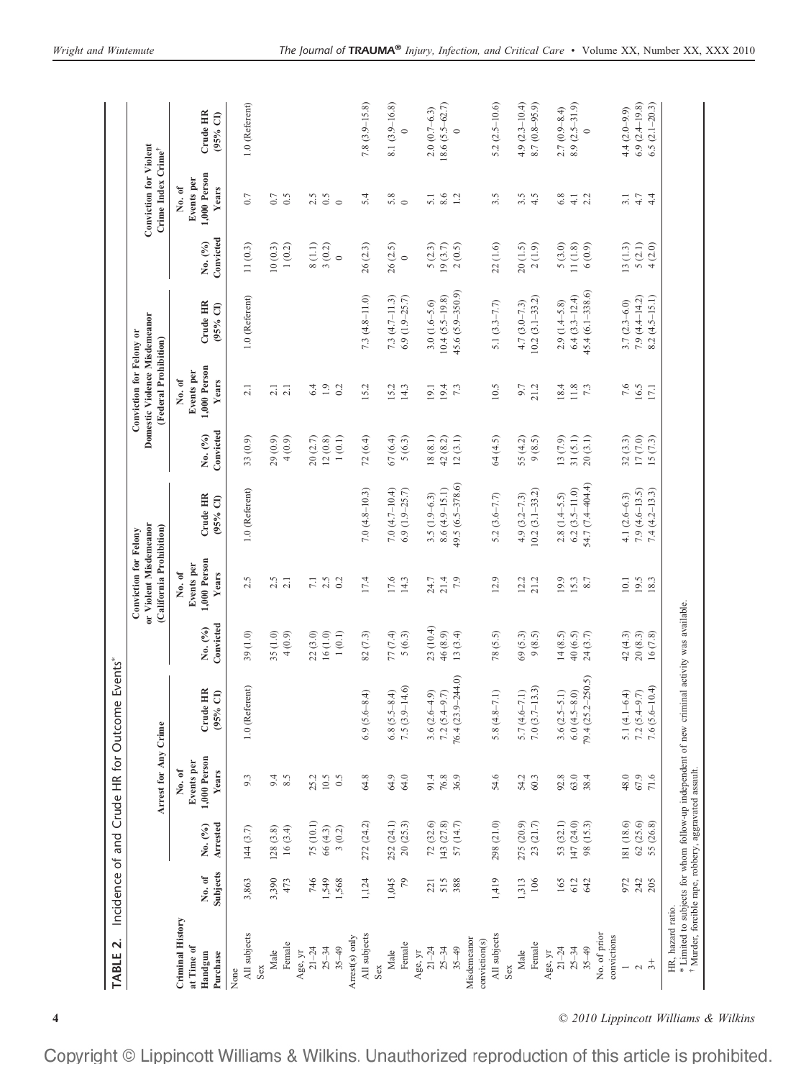|                                                                                       |                   |                         | Arrest for Any Crime                          |                                                                                              |                       | or Violent Misdemeanor<br>(California Prohibition)<br>Conviction for Felony |                                         |                      | Domestic Violence Misdemeanor<br>Conviction for Felony or<br>(Federal Prohibition) |                                      |                       | <b>Conviction for Violent</b><br>Crime Index Crime <sup>+</sup> |                                       |
|---------------------------------------------------------------------------------------|-------------------|-------------------------|-----------------------------------------------|----------------------------------------------------------------------------------------------|-----------------------|-----------------------------------------------------------------------------|-----------------------------------------|----------------------|------------------------------------------------------------------------------------|--------------------------------------|-----------------------|-----------------------------------------------------------------|---------------------------------------|
| Criminal History<br>at Time of<br>Handgun<br>Purchase                                 | Subjects<br>No.of | Arrested<br>No. (%)     | 1,000 Person<br>Events per<br>No. of<br>Years | Crude HR<br>$\widehat{\sigma}$<br>(95%                                                       | Convicted<br>No. (%)  | 1,000 Person<br>Events per<br>No. of<br>Years                               | Crude HR<br>$(95%$ CI)                  | Convicted<br>No. (%) | 1,000 Person<br>Events per<br>No. of<br><b>Years</b>                               | Crude HR<br>$(95%$ CI)               | Convicted<br>No. (%)  | 1,000 Person<br>Events per<br>No. of<br>Years                   | Crude HR<br>$(95%$ CI)                |
| All subjects<br>None                                                                  | 3,863             | 144(3.7)                | 9.3                                           | 1.0 (Referent)                                                                               | 39(1.0)               | 2.5                                                                         | 1.0 (Referent)                          | 33 (0.9)             | 2.1                                                                                | 1.0 (Referent)                       | 11(0.3)               | 0.7                                                             | 1.0 (Referent)                        |
| Female<br>Male<br>Sex                                                                 | 3,390<br>473      | 128(3.8)<br>16(3.4)     | 9.4<br>8.5                                    |                                                                                              | 35(1.0)<br>4(0.9)     | 2.5<br>2.1                                                                  |                                         | 29(0.9)<br>4(0.9)    | $\frac{2}{3}$ $\frac{1}{3}$                                                        |                                      | 10(0.3)<br>$1\ (0.2)$ | $0.7\,$<br>0.5                                                  |                                       |
| $21 - 24$<br>Age, yr                                                                  | 746               | 75 (10.1)               | 25.2                                          |                                                                                              | 22(3.0)               | $\overline{7.1}$                                                            |                                         | 20(2.7)              | 6.4                                                                                |                                      | 8(1.1)                | 2.5                                                             |                                       |
| $35 - 49$<br>$25 - 34$                                                                | 1,549<br>1,568    | 66(4.3)<br>3(0.2)       | 10.5<br>0.5                                   |                                                                                              | 16(1.0)<br>$1\ (0.1)$ | 2.5<br>0.2                                                                  |                                         | 12(0.8)<br>1(0.1)    | 1.9<br>0.2                                                                         |                                      | 3(0.2)<br>$\circ$     | 0.5<br>$\circ$                                                  |                                       |
| All subjects<br>Arrest(s) only                                                        | 1,124             | 272 (24.2)              | 64.8                                          | $6.9(5.6 - 8.4)$                                                                             | 82(7.3)               | 17.4                                                                        | $7.0(4.8 - 10.3)$                       | 72(6.4)              | 15.2                                                                               | $7.3(4.8 - 11.0)$                    | 26(2.3)               | 5.4                                                             | $7.8(3.9-15.8)$                       |
| Sex                                                                                   |                   |                         |                                               |                                                                                              |                       |                                                                             |                                         |                      |                                                                                    |                                      |                       |                                                                 |                                       |
| Female<br>Male                                                                        | 1,045<br>79       | 252 (24.1)<br>20(25.3)  | 64.9<br>64.0                                  | $7.5(3.9-14.6)$<br>$6.8(5.5 - 8.4)$                                                          | 77 (7.4)<br>5(6.3)    | 17.6<br>14.3                                                                | 7.0 $(4.7 - 10.4)$<br>$6.9(1.9 - 25.7)$ | 67(6.4)<br>5(6.3)    | 15.2<br>14.3                                                                       | $7.3(4.7 - 11.3)$<br>$6.9(1.9-25.7)$ | 26(2.5)<br>$\circ$    | 5.8<br>$\circ$                                                  | 8.1 (3.9-16.8)                        |
| $21 - 24$<br>Age, yr                                                                  | 221               |                         | 91.4                                          |                                                                                              |                       |                                                                             |                                         | 18(8.1)              | 19.1                                                                               | $3.0(1.6-5.6)$                       |                       |                                                                 | $2.0(0.7 - 6.3)$                      |
| $25 - 34$                                                                             | 515               | 72 (32.6)<br>143 (27.8) | 76.8                                          | $3.6(2.6-4.9)$<br>$7.2 (5.4 - 9.7)$                                                          | 23 (10.4)<br>46 (8.9) | 21.4<br>24.7                                                                | $8.6(4.9-15.1)$<br>$3.5(1.9 - 6.3)$     | 42(8.2)              | 19.4                                                                               | $10.4 (5.5 - 19.8)$                  | 5(2.3)<br>19(3.7)     | 8.6<br>5.1                                                      | $18.6(5.5-62.7)$                      |
| $35 - 49$                                                                             | 388               | 57 (14.7)               | 36.9                                          | $76.4(23.9 - 244.0)$                                                                         | 13(3.4)               | 7.9                                                                         | 49.5 (6.5-378.6)                        | 12(3.1)              | 7.3                                                                                | 45.6 (5.9–350.9)                     | 2(0.5)                | 1.2                                                             | $\circ$                               |
| Misdemeanor<br>conviction(s)                                                          |                   |                         |                                               |                                                                                              |                       |                                                                             |                                         |                      |                                                                                    |                                      |                       |                                                                 |                                       |
| All subjects                                                                          | 1,419             | 298 (21.0)              | 54.6                                          | $5.8(4.8 - 7.1)$                                                                             | 78 (5.5)              | 12.9                                                                        | $5.2(3.6 - 7.7)$                        | 64 (4.5)             | 10.5                                                                               | 5.1 $(3.3 - 7.7)$                    | 22(1.6)               | 3.5                                                             | 5.2 $(2.5-10.6)$                      |
| Male<br>Sex                                                                           | 1,313             | 275 (20.9)              | 54.2                                          | $5.7(4.6 - 7.1)$                                                                             | 69 (5.3)              | 12.2                                                                        | $4.9(3.2 - 7.3)$                        | 55 (4.2)             | 9.7                                                                                | $4.7(3.0 - 7.3)$                     | 20(1.5)               | 3.5                                                             | 4.9 $(2.3 - 10.4)$                    |
| Female                                                                                | 106               | 23 (21.7)               | 60.3                                          | $7.0(3.7-13.3)$                                                                              | 9(8.5)                | 21.2                                                                        | $10.2(3.1 - 33.2)$                      | 9(8.5)               | 21.2                                                                               | $10.2(3.1 - 33.2)$                   | 2(1.9)                | 4.5                                                             | $8.7(0.8-95.9)$                       |
| $21 - 24$<br>Age, yr                                                                  | 165               | 53 (32.1)               | 92.8                                          | $3.6(2.5-5.1)$                                                                               | 14(8.5)               | 19.9                                                                        | $2.8(1.4-5.5)$                          | 13 (7.9)             | 18.4                                                                               | $2.9(1.4-5.8)$                       | 5(3.0)                | 6.8                                                             |                                       |
| $25 - 34$                                                                             | 612               | 147 (24.0)              | 63.0                                          | $6.0(4.5 - 8.0)$                                                                             | 40 (6.5)              | 15.3                                                                        | $6.2(3.5 - 11.0)$                       | 31(5.1)              | $11.8\,$                                                                           | $6.4(3.3 - 12.4)$                    | 11(1.8)               | $\overline{4}$                                                  | $8.9(2.5 - 31.9)$<br>$2.7(0.9 - 8.4)$ |
| $35 - 49$                                                                             | 642               | 98 (15.3)               | 38.4                                          | 79.4 (25.2-250.5)                                                                            | 24(3.7)               | 8.7                                                                         | 54.7 (7.4-404.4)                        | 20(3.1)              | 7.3                                                                                | 45.4 (6.1-338.6)                     | 6(0.9)                | 2.2                                                             | $\circ$                               |
| No. of prior<br>convictions                                                           |                   |                         |                                               |                                                                                              |                       |                                                                             |                                         |                      |                                                                                    |                                      |                       |                                                                 |                                       |
| $\overline{a}$                                                                        | 972               | 181 (18.6)              | 48.0                                          | 5.1 $(4.1 - 6.4)$                                                                            | 42 (4.3)              | 10.1                                                                        | 4.1 $(2.6 - 6.3)$                       | 32(3.3)              | 7.6                                                                                | $3.7(2.3 - 6.0)$                     | 13(1.3)               | 3.1                                                             | $4.4(2.0 - 9.9)$                      |
| $\sim$                                                                                | 242               | 62(25.6)                | 67.9                                          | $7.2(5.4 - 9.7)$                                                                             | 20(8.3)               | 19.5                                                                        | $7.9(4.6-13.5)$                         | 17(7.0)              | 16.5                                                                               | $7.9(4.4-14.2)$                      | 5(2.1)                | $4.7$                                                           | $6.9(2.4-19.8)$                       |
| $\ddot{3} +$                                                                          | 205               | 55 (26.8)               | 71.6                                          | $7.6(5.6 - 10.4)$                                                                            | 16(7.8)               | 18.3                                                                        | $7.4(4.2 - 13.3)$                       | 15(7.3)              | 17.1                                                                               | $8.2(4.5-15.1)$                      | 4(2.0)                | 4.4                                                             | $6.5(2.1 - 20.3)$                     |
| <sup>†</sup> Murder, forcible rape, robbery, aggravated assault.<br>HR, hazard ratio. |                   |                         |                                               | * Limited to subjects for whom follow-up independent of new criminal activity was available. |                       |                                                                             |                                         |                      |                                                                                    |                                      |                       |                                                                 |                                       |

**4** *© 2010 Lippincott Williams & Wilkins*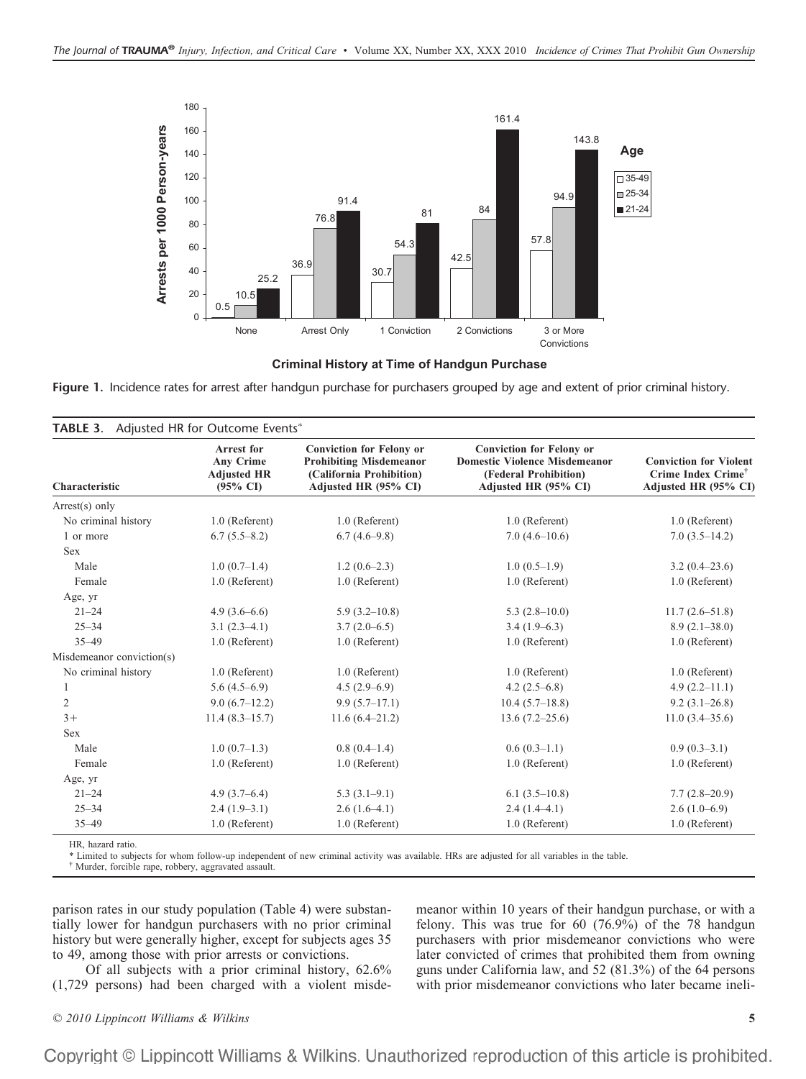

**Criminal History at Time of Handgun Purchase** 

Figure 1. Incidence rates for arrest after handgun purchase for purchasers grouped by age and extent of prior criminal history.

| Characteristic            | <b>Arrest for</b><br><b>Any Crime</b><br><b>Adjusted HR</b><br>$(95\% \text{ CI})$ | <b>Conviction for Felony or</b><br><b>Prohibiting Misdemeanor</b><br>(California Prohibition)<br>Adjusted HR (95% CI) | <b>Conviction for Felony or</b><br><b>Domestic Violence Misdemeanor</b><br>(Federal Prohibition)<br>Adjusted HR (95% CI) | <b>Conviction for Violent</b><br>Crime Index Crime <sup>†</sup><br>Adjusted HR (95% CI) |
|---------------------------|------------------------------------------------------------------------------------|-----------------------------------------------------------------------------------------------------------------------|--------------------------------------------------------------------------------------------------------------------------|-----------------------------------------------------------------------------------------|
| $Arrest(s)$ only          |                                                                                    |                                                                                                                       |                                                                                                                          |                                                                                         |
| No criminal history       | 1.0 (Referent)                                                                     | 1.0 (Referent)                                                                                                        | 1.0 (Referent)                                                                                                           | 1.0 (Referent)                                                                          |
| 1 or more                 | $6.7(5.5-8.2)$                                                                     | $6.7(4.6-9.8)$                                                                                                        | $7.0(4.6-10.6)$                                                                                                          | $7.0(3.5-14.2)$                                                                         |
| <b>Sex</b>                |                                                                                    |                                                                                                                       |                                                                                                                          |                                                                                         |
| Male                      | $1.0(0.7-1.4)$                                                                     | $1.2(0.6-2.3)$                                                                                                        | $1.0(0.5-1.9)$                                                                                                           | $3.2(0.4-23.6)$                                                                         |
| Female                    | 1.0 (Referent)                                                                     | 1.0 (Referent)                                                                                                        | 1.0 (Referent)                                                                                                           | 1.0 (Referent)                                                                          |
| Age, yr                   |                                                                                    |                                                                                                                       |                                                                                                                          |                                                                                         |
| $21 - 24$                 | $4.9(3.6-6.6)$                                                                     | $5.9(3.2-10.8)$                                                                                                       | $5.3(2.8-10.0)$                                                                                                          | $11.7(2.6 - 51.8)$                                                                      |
| $25 - 34$                 | $3.1(2.3-4.1)$                                                                     | $3.7(2.0-6.5)$                                                                                                        | $3.4(1.9-6.3)$                                                                                                           | $8.9(2.1 - 38.0)$                                                                       |
| $35 - 49$                 | 1.0 (Referent)                                                                     | 1.0 (Referent)                                                                                                        | 1.0 (Referent)                                                                                                           | 1.0 (Referent)                                                                          |
| Misdemeanor conviction(s) |                                                                                    |                                                                                                                       |                                                                                                                          |                                                                                         |
| No criminal history       | 1.0 (Referent)                                                                     | 1.0 (Referent)                                                                                                        | 1.0 (Referent)                                                                                                           | 1.0 (Referent)                                                                          |
| 1                         | $5.6(4.5-6.9)$                                                                     | $4.5(2.9-6.9)$                                                                                                        | 4.2 $(2.5-6.8)$                                                                                                          | $4.9(2.2 - 11.1)$                                                                       |
| 2                         | $9.0(6.7-12.2)$                                                                    | $9.9(5.7-17.1)$                                                                                                       | $10.4(5.7-18.8)$                                                                                                         | $9.2(3.1-26.8)$                                                                         |
| $3+$                      | $11.4(8.3-15.7)$                                                                   | $11.6(6.4-21.2)$                                                                                                      | $13.6(7.2 - 25.6)$                                                                                                       | $11.0(3.4 - 35.6)$                                                                      |
| Sex                       |                                                                                    |                                                                                                                       |                                                                                                                          |                                                                                         |
| Male                      | $1.0(0.7-1.3)$                                                                     | $0.8(0.4-1.4)$                                                                                                        | $0.6(0.3-1.1)$                                                                                                           | $0.9(0.3-3.1)$                                                                          |
| Female                    | 1.0 (Referent)                                                                     | 1.0 (Referent)                                                                                                        | 1.0 (Referent)                                                                                                           | 1.0 (Referent)                                                                          |
| Age, yr                   |                                                                                    |                                                                                                                       |                                                                                                                          |                                                                                         |
| $21 - 24$                 | $4.9(3.7-6.4)$                                                                     | $5.3(3.1-9.1)$                                                                                                        | $6.1(3.5-10.8)$                                                                                                          | $7.7(2.8-20.9)$                                                                         |
| $25 - 34$                 | $2.4(1.9-3.1)$                                                                     | $2.6(1.6-4.1)$                                                                                                        | $2.4(1.4-4.1)$                                                                                                           | $2.6(1.0-6.9)$                                                                          |
| $35 - 49$                 | 1.0 (Referent)                                                                     | 1.0 (Referent)                                                                                                        | 1.0 (Referent)                                                                                                           | 1.0 (Referent)                                                                          |

HR, hazard ratio.

\* Limited to subjects for whom follow-up independent of new criminal activity was available. HRs are adjusted for all variables in the table.

† Murder, forcible rape, robbery, aggravated assault.

parison rates in our study population (Table 4) were substantially lower for handgun purchasers with no prior criminal history but were generally higher, except for subjects ages 35 to 49, among those with prior arrests or convictions.

Of all subjects with a prior criminal history, 62.6% (1,729 persons) had been charged with a violent misdemeanor within 10 years of their handgun purchase, or with a felony. This was true for 60 (76.9%) of the 78 handgun purchasers with prior misdemeanor convictions who were later convicted of crimes that prohibited them from owning guns under California law, and 52 (81.3%) of the 64 persons with prior misdemeanor convictions who later became ineli-

*© 2010 Lippincott Williams & Wilkins* **5**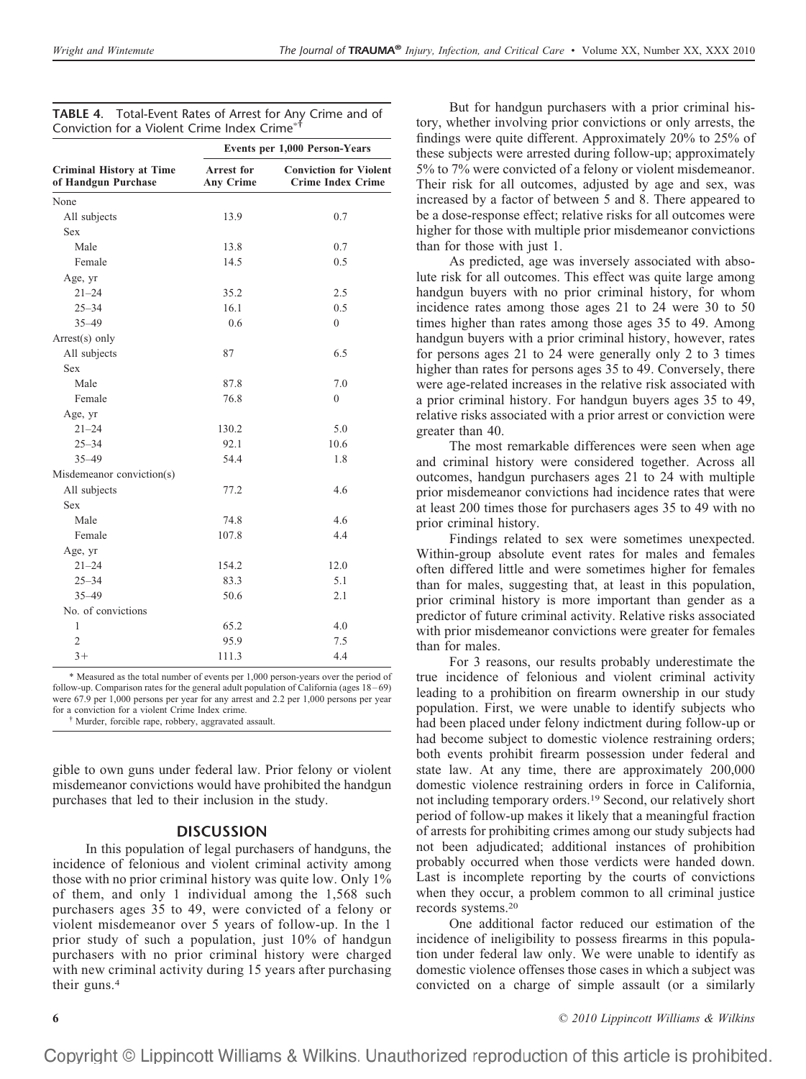|                                                        | Events per 1,000 Person-Years         |                                                           |  |
|--------------------------------------------------------|---------------------------------------|-----------------------------------------------------------|--|
| <b>Criminal History at Time</b><br>of Handgun Purchase | <b>Arrest for</b><br><b>Any Crime</b> | <b>Conviction for Violent</b><br><b>Crime Index Crime</b> |  |
| None                                                   |                                       |                                                           |  |
| All subjects                                           | 13.9                                  | 0.7                                                       |  |
| Sex                                                    |                                       |                                                           |  |
| Male                                                   | 13.8                                  | 0.7                                                       |  |
| Female                                                 | 14.5                                  | 0.5                                                       |  |
| Age, yr                                                |                                       |                                                           |  |
| $21 - 24$                                              | 35.2                                  | 2.5                                                       |  |
| $25 - 34$                                              | 16.1                                  | 0.5                                                       |  |
| $35 - 49$                                              | 0.6                                   | $\theta$                                                  |  |
| Arrest(s) only                                         |                                       |                                                           |  |
| All subjects                                           | 87                                    | 6.5                                                       |  |
| Sex                                                    |                                       |                                                           |  |
| Male                                                   | 87.8                                  | 7.0                                                       |  |
| Female                                                 | 76.8                                  | $\Omega$                                                  |  |
| Age, yr                                                |                                       |                                                           |  |
| $21 - 24$                                              | 130.2                                 | 5.0                                                       |  |
| $25 - 34$                                              | 92.1                                  | 10.6                                                      |  |
| $35 - 49$                                              | 54.4                                  | 1.8                                                       |  |
| Misdemeanor conviction(s)                              |                                       |                                                           |  |
| All subjects                                           | 77.2                                  | 4.6                                                       |  |
| Sex                                                    |                                       |                                                           |  |
| Male                                                   | 74.8                                  | 4.6                                                       |  |
| Female                                                 | 107.8                                 | 4.4                                                       |  |
| Age, yr                                                |                                       |                                                           |  |
| $21 - 24$                                              | 154.2                                 | 12.0                                                      |  |
| $25 - 34$                                              | 83.3                                  | 5.1                                                       |  |
| $35 - 49$                                              | 50.6                                  | 2.1                                                       |  |
| No. of convictions                                     |                                       |                                                           |  |
| $\mathbf{1}$                                           | 65.2                                  | 4.0                                                       |  |
| $\overline{2}$                                         | 95.9                                  | 7.5                                                       |  |
| $3+$                                                   | 111.3                                 | 4.4                                                       |  |

| <b>TABLE 4.</b> Total-Event Rates of Arrest for Any Crime and of |
|------------------------------------------------------------------|
| Conviction for a Violent Crime Index Crime* <sup>†</sup>         |

\* Measured as the total number of events per 1,000 person-years over the period of follow-up. Comparison rates for the general adult population of California (ages 18 – 69) were 67.9 per 1,000 persons per year for any arrest and 2.2 per 1,000 persons per year for a conviction for a violent Crime Index crime.

<sup>†</sup> Murder, forcible rape, robbery, aggravated assault.

gible to own guns under federal law. Prior felony or violent misdemeanor convictions would have prohibited the handgun purchases that led to their inclusion in the study.

### **DISCUSSION**

In this population of legal purchasers of handguns, the incidence of felonious and violent criminal activity among those with no prior criminal history was quite low. Only 1% of them, and only 1 individual among the 1,568 such purchasers ages 35 to 49, were convicted of a felony or violent misdemeanor over 5 years of follow-up. In the 1 prior study of such a population, just 10% of handgun purchasers with no prior criminal history were charged with new criminal activity during 15 years after purchasing their guns.4

But for handgun purchasers with a prior criminal history, whether involving prior convictions or only arrests, the findings were quite different. Approximately 20% to 25% of these subjects were arrested during follow-up; approximately 5% to 7% were convicted of a felony or violent misdemeanor. Their risk for all outcomes, adjusted by age and sex, was increased by a factor of between 5 and 8. There appeared to be a dose-response effect; relative risks for all outcomes were higher for those with multiple prior misdemeanor convictions than for those with just 1.

As predicted, age was inversely associated with absolute risk for all outcomes. This effect was quite large among handgun buyers with no prior criminal history, for whom incidence rates among those ages 21 to 24 were 30 to 50 times higher than rates among those ages 35 to 49. Among handgun buyers with a prior criminal history, however, rates for persons ages 21 to 24 were generally only 2 to 3 times higher than rates for persons ages 35 to 49. Conversely, there were age-related increases in the relative risk associated with a prior criminal history. For handgun buyers ages 35 to 49, relative risks associated with a prior arrest or conviction were greater than 40.

The most remarkable differences were seen when age and criminal history were considered together. Across all outcomes, handgun purchasers ages 21 to 24 with multiple prior misdemeanor convictions had incidence rates that were at least 200 times those for purchasers ages 35 to 49 with no prior criminal history.

Findings related to sex were sometimes unexpected. Within-group absolute event rates for males and females often differed little and were sometimes higher for females than for males, suggesting that, at least in this population, prior criminal history is more important than gender as a predictor of future criminal activity. Relative risks associated with prior misdemeanor convictions were greater for females than for males.

For 3 reasons, our results probably underestimate the true incidence of felonious and violent criminal activity leading to a prohibition on firearm ownership in our study population. First, we were unable to identify subjects who had been placed under felony indictment during follow-up or had become subject to domestic violence restraining orders; both events prohibit firearm possession under federal and state law. At any time, there are approximately 200,000 domestic violence restraining orders in force in California, not including temporary orders.19 Second, our relatively short period of follow-up makes it likely that a meaningful fraction of arrests for prohibiting crimes among our study subjects had not been adjudicated; additional instances of prohibition probably occurred when those verdicts were handed down. Last is incomplete reporting by the courts of convictions when they occur, a problem common to all criminal justice records systems.20

One additional factor reduced our estimation of the incidence of ineligibility to possess firearms in this population under federal law only. We were unable to identify as domestic violence offenses those cases in which a subject was convicted on a charge of simple assault (or a similarly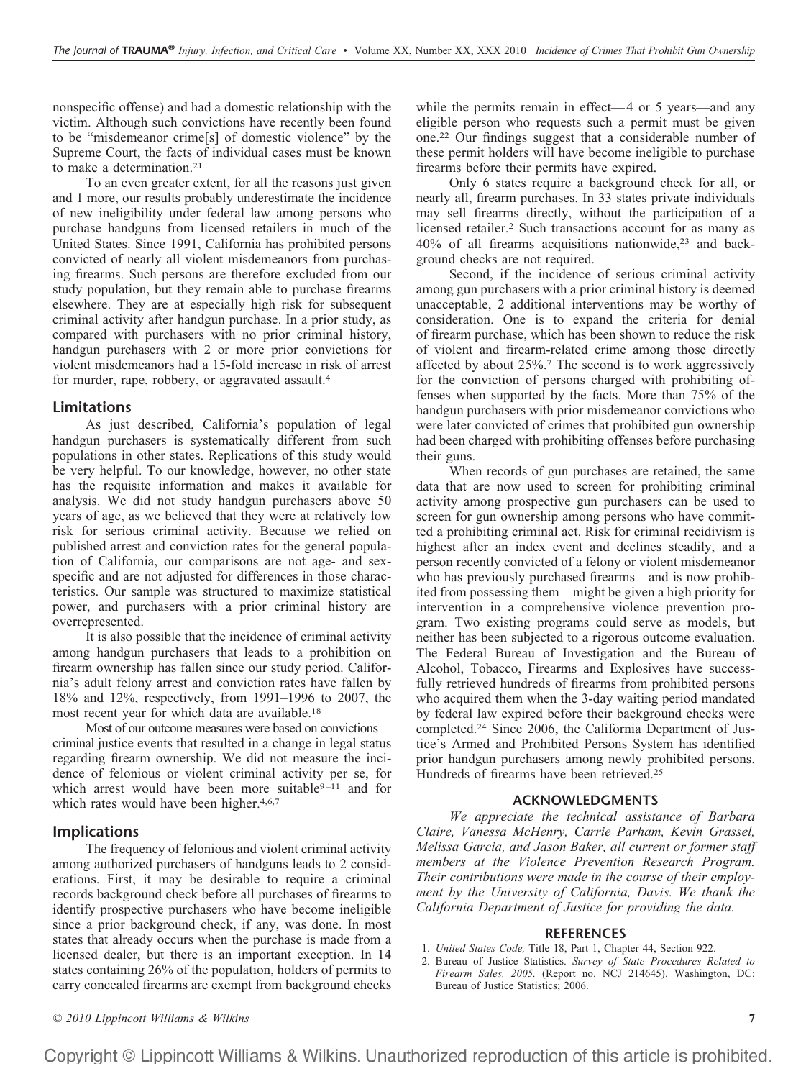nonspecific offense) and had a domestic relationship with the victim. Although such convictions have recently been found to be "misdemeanor crime[s] of domestic violence" by the Supreme Court, the facts of individual cases must be known to make a determination.21

To an even greater extent, for all the reasons just given and 1 more, our results probably underestimate the incidence of new ineligibility under federal law among persons who purchase handguns from licensed retailers in much of the United States. Since 1991, California has prohibited persons convicted of nearly all violent misdemeanors from purchasing firearms. Such persons are therefore excluded from our study population, but they remain able to purchase firearms elsewhere. They are at especially high risk for subsequent criminal activity after handgun purchase. In a prior study, as compared with purchasers with no prior criminal history, handgun purchasers with 2 or more prior convictions for violent misdemeanors had a 15-fold increase in risk of arrest for murder, rape, robbery, or aggravated assault.<sup>4</sup>

#### **Limitations**

As just described, California's population of legal handgun purchasers is systematically different from such populations in other states. Replications of this study would be very helpful. To our knowledge, however, no other state has the requisite information and makes it available for analysis. We did not study handgun purchasers above 50 years of age, as we believed that they were at relatively low risk for serious criminal activity. Because we relied on published arrest and conviction rates for the general population of California, our comparisons are not age- and sexspecific and are not adjusted for differences in those characteristics. Our sample was structured to maximize statistical power, and purchasers with a prior criminal history are overrepresented.

It is also possible that the incidence of criminal activity among handgun purchasers that leads to a prohibition on firearm ownership has fallen since our study period. California's adult felony arrest and conviction rates have fallen by 18% and 12%, respectively, from 1991–1996 to 2007, the most recent year for which data are available.18

Most of our outcome measures were based on convictions criminal justice events that resulted in a change in legal status regarding firearm ownership. We did not measure the incidence of felonious or violent criminal activity per se, for which arrest would have been more suitable<sup>9-11</sup> and for which rates would have been higher.<sup>4,6,7</sup>

### **Implications**

The frequency of felonious and violent criminal activity among authorized purchasers of handguns leads to 2 considerations. First, it may be desirable to require a criminal records background check before all purchases of firearms to identify prospective purchasers who have become ineligible since a prior background check, if any, was done. In most states that already occurs when the purchase is made from a licensed dealer, but there is an important exception. In 14 states containing 26% of the population, holders of permits to carry concealed firearms are exempt from background checks while the permits remain in effect—4 or 5 years—and any eligible person who requests such a permit must be given one.22 Our findings suggest that a considerable number of these permit holders will have become ineligible to purchase firearms before their permits have expired.

Only 6 states require a background check for all, or nearly all, firearm purchases. In 33 states private individuals may sell firearms directly, without the participation of a licensed retailer.2 Such transactions account for as many as  $40\%$  of all firearms acquisitions nationwide,<sup>23</sup> and background checks are not required.

Second, if the incidence of serious criminal activity among gun purchasers with a prior criminal history is deemed unacceptable, 2 additional interventions may be worthy of consideration. One is to expand the criteria for denial of firearm purchase, which has been shown to reduce the risk of violent and firearm-related crime among those directly affected by about 25%.7 The second is to work aggressively for the conviction of persons charged with prohibiting offenses when supported by the facts. More than 75% of the handgun purchasers with prior misdemeanor convictions who were later convicted of crimes that prohibited gun ownership had been charged with prohibiting offenses before purchasing their guns.

When records of gun purchases are retained, the same data that are now used to screen for prohibiting criminal activity among prospective gun purchasers can be used to screen for gun ownership among persons who have committed a prohibiting criminal act. Risk for criminal recidivism is highest after an index event and declines steadily, and a person recently convicted of a felony or violent misdemeanor who has previously purchased firearms—and is now prohibited from possessing them—might be given a high priority for intervention in a comprehensive violence prevention program. Two existing programs could serve as models, but neither has been subjected to a rigorous outcome evaluation. The Federal Bureau of Investigation and the Bureau of Alcohol, Tobacco, Firearms and Explosives have successfully retrieved hundreds of firearms from prohibited persons who acquired them when the 3-day waiting period mandated by federal law expired before their background checks were completed.24 Since 2006, the California Department of Justice's Armed and Prohibited Persons System has identified prior handgun purchasers among newly prohibited persons. Hundreds of firearms have been retrieved.<sup>25</sup>

#### **ACKNOWLEDGMENTS**

*We appreciate the technical assistance of Barbara Claire, Vanessa McHenry, Carrie Parham, Kevin Grassel, Melissa Garcia, and Jason Baker, all current or former staff members at the Violence Prevention Research Program. Their contributions were made in the course of their employment by the University of California, Davis. We thank the California Department of Justice for providing the data.*

#### **REFERENCES**

- 1. *United States Code,* Title 18, Part 1, Chapter 44, Section 922.
- 2. Bureau of Justice Statistics. *Survey of State Procedures Related to Firearm Sales, 2005.* (Report no. NCJ 214645). Washington, DC: Bureau of Justice Statistics; 2006.

*© 2010 Lippincott Williams & Wilkins* **7**